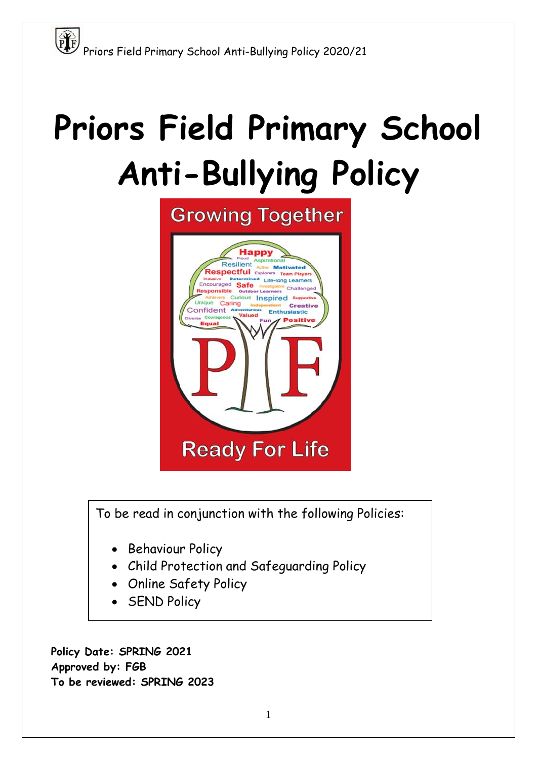

To be read in conjunction with the following Policies:

- Behaviour Policy
- Child Protection and Safeguarding Policy
- Online Safety Policy
- SEND Policy

**Policy Date: SPRING 2021 Approved by: FGB To be reviewed: SPRING 2023**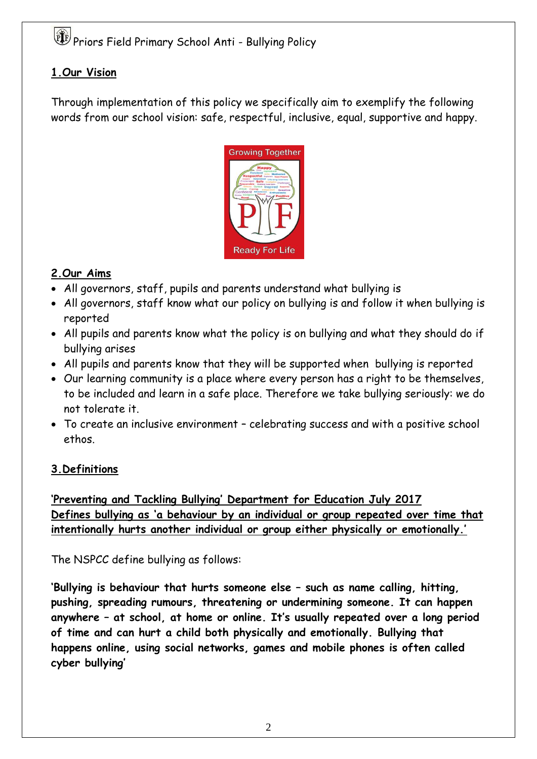#### **1.Our Vision**

Through implementation of this policy we specifically aim to exemplify the following words from our school vision: safe, respectful, inclusive, equal, supportive and happy.



#### **2.Our Aims**

- All governors, staff, pupils and parents understand what bullying is
- All governors, staff know what our policy on bullying is and follow it when bullying is reported
- All pupils and parents know what the policy is on bullying and what they should do if bullying arises
- All pupils and parents know that they will be supported when bullying is reported
- Our learning community is a place where every person has a right to be themselves, to be included and learn in a safe place. Therefore we take bullying seriously: we do not tolerate it.
- To create an inclusive environment celebrating success and with a positive school ethos.

## **3.Definitions**

**'Preventing and Tackling Bullying' Department for Education July 2017 Defines bullying as 'a behaviour by an individual or group repeated over time that intentionally hurts another individual or group either physically or emotionally.'**

#### The NSPCC define bullying as follows:

**'Bullying is behaviour that hurts someone else – such as name calling, hitting, pushing, spreading rumours, threatening or undermining someone. It can happen anywhere – at school, at home or online. It's usually repeated over a long period of time and can hurt a child both physically and emotionally. Bullying that happens online, using social networks, games and mobile phones is often called cyber bullying'**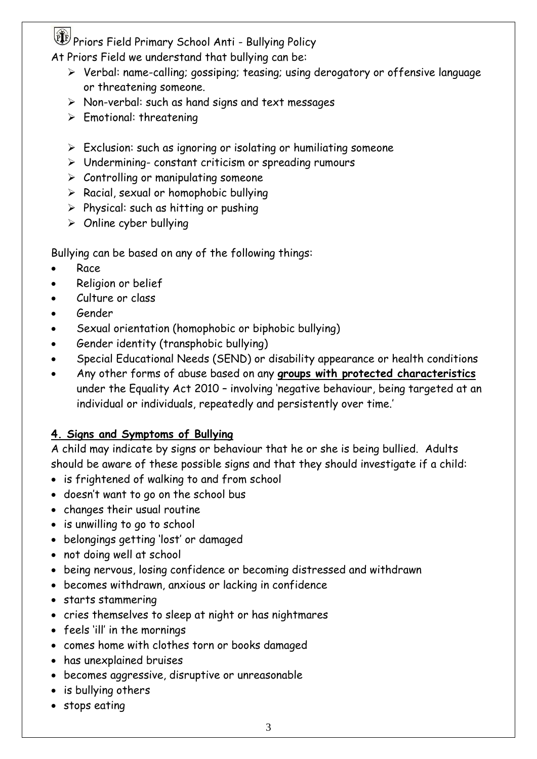At Priors Field we understand that bullying can be:

- Verbal: name-calling; gossiping; teasing; using derogatory or offensive language or threatening someone.
- $\triangleright$  Non-verbal: such as hand signs and text messages
- $\triangleright$  Emotional: threatening
- $\triangleright$  Exclusion: such as ignoring or isolating or humiliating someone
- $\triangleright$  Undermining- constant criticism or spreading rumours
- $\triangleright$  Controlling or manipulating someone
- $\triangleright$  Racial, sexual or homophobic bullying
- $\triangleright$  Physical: such as hitting or pushing
- $\triangleright$  Online cyber bullying

Bullying can be based on any of the following things:

- Race
- Religion or belief
- Culture or class
- Gender
- Sexual orientation (homophobic or biphobic bullying)
- Gender identity (transphobic bullying)
- Special Educational Needs (SEND) or disability appearance or health conditions
- Any other forms of abuse based on any **groups with protected characteristics** under the Equality Act 2010 – involving 'negative behaviour, being targeted at an individual or individuals, repeatedly and persistently over time.'

#### **4. Signs and Symptoms of Bullying**

A child may indicate by signs or behaviour that he or she is being bullied. Adults should be aware of these possible signs and that they should investigate if a child:

- is frightened of walking to and from school
- doesn't want to go on the school bus
- changes their usual routine
- is unwilling to go to school
- belongings getting 'lost' or damaged
- not doing well at school
- being nervous, losing confidence or becoming distressed and withdrawn
- becomes withdrawn, anxious or lacking in confidence
- starts stammering
- cries themselves to sleep at night or has nightmares
- feels 'ill' in the mornings
- comes home with clothes torn or books damaged
- has unexplained bruises
- becomes aggressive, disruptive or unreasonable
- is bullying others
- stops eating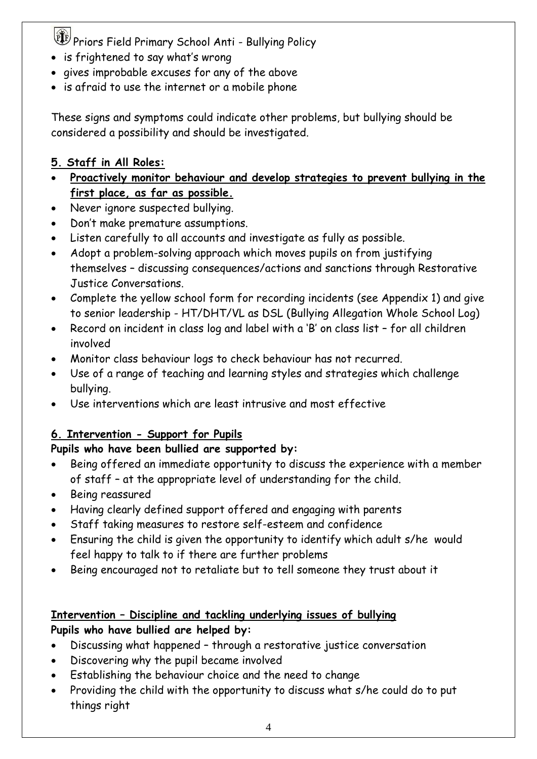- is frightened to say what's wrong
- gives improbable excuses for any of the above
- is afraid to use the internet or a mobile phone

These signs and symptoms could indicate other problems, but bullying should be considered a possibility and should be investigated.

### **5. Staff in All Roles:**

- **Proactively monitor behaviour and develop strategies to prevent bullying in the first place, as far as possible.**
- Never ignore suspected bullying.
- Don't make premature assumptions.
- Listen carefully to all accounts and investigate as fully as possible.
- Adopt a problem-solving approach which moves pupils on from justifying themselves – discussing consequences/actions and sanctions through Restorative Justice Conversations.
- Complete the yellow school form for recording incidents (see Appendix 1) and give to senior leadership - HT/DHT/VL as DSL (Bullying Allegation Whole School Log)
- Record on incident in class log and label with a 'B' on class list for all children involved
- Monitor class behaviour logs to check behaviour has not recurred.
- Use of a range of teaching and learning styles and strategies which challenge bullying.
- Use interventions which are least intrusive and most effective

## **6. Intervention - Support for Pupils**

#### **Pupils who have been bullied are supported by:**

- Being offered an immediate opportunity to discuss the experience with a member of staff – at the appropriate level of understanding for the child.
- Being reassured
- Having clearly defined support offered and engaging with parents
- Staff taking measures to restore self-esteem and confidence
- Ensuring the child is given the opportunity to identify which adult s/he would feel happy to talk to if there are further problems
- Being encouraged not to retaliate but to tell someone they trust about it

#### **Intervention – Discipline and tackling underlying issues of bullying Pupils who have bullied are helped by:**

- Discussing what happened through a restorative justice conversation
- Discovering why the pupil became involved
- Establishing the behaviour choice and the need to change
- Providing the child with the opportunity to discuss what s/he could do to put things right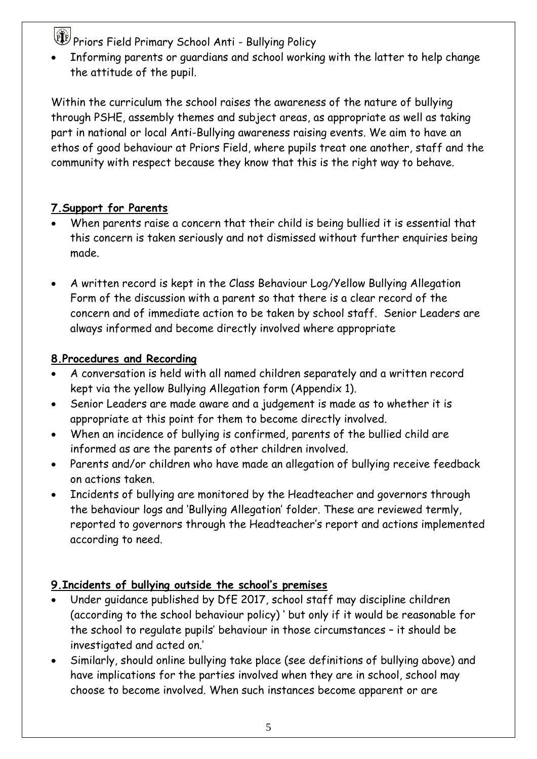Informing parents or guardians and school working with the latter to help change the attitude of the pupil.

Within the curriculum the school raises the awareness of the nature of bullying through PSHE, assembly themes and subject areas, as appropriate as well as taking part in national or local Anti-Bullying awareness raising events. We aim to have an ethos of good behaviour at Priors Field, where pupils treat one another, staff and the community with respect because they know that this is the right way to behave.

#### **7.Support for Parents**

- When parents raise a concern that their child is being bullied it is essential that this concern is taken seriously and not dismissed without further enquiries being made.
- A written record is kept in the Class Behaviour Log/Yellow Bullying Allegation Form of the discussion with a parent so that there is a clear record of the concern and of immediate action to be taken by school staff. Senior Leaders are always informed and become directly involved where appropriate

#### **8.Procedures and Recording**

- A conversation is held with all named children separately and a written record kept via the yellow Bullying Allegation form (Appendix 1).
- Senior Leaders are made aware and a judgement is made as to whether it is appropriate at this point for them to become directly involved.
- When an incidence of bullying is confirmed, parents of the bullied child are informed as are the parents of other children involved.
- Parents and/or children who have made an allegation of bullying receive feedback on actions taken.
- Incidents of bullying are monitored by the Headteacher and governors through the behaviour logs and 'Bullying Allegation' folder. These are reviewed termly, reported to governors through the Headteacher's report and actions implemented according to need.

#### **9.Incidents of bullying outside the school's premises**

- Under guidance published by DfE 2017, school staff may discipline children (according to the school behaviour policy) ' but only if it would be reasonable for the school to regulate pupils' behaviour in those circumstances – it should be investigated and acted on.'
- Similarly, should online bullying take place (see definitions of bullying above) and have implications for the parties involved when they are in school, school may choose to become involved. When such instances become apparent or are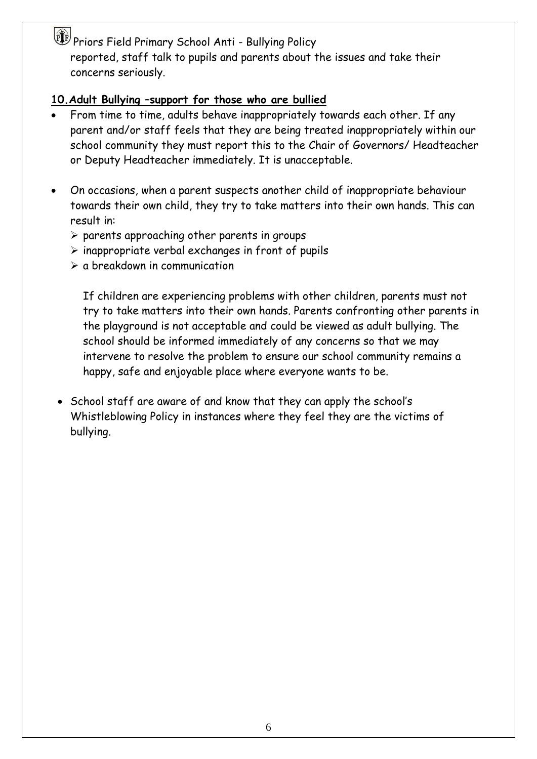Priors Field Primary School Anti - Bullying Policy reported, staff talk to pupils and parents about the issues and take their concerns seriously.

#### **10.Adult Bullying –support for those who are bullied**

- From time to time, adults behave inappropriately towards each other. If any parent and/or staff feels that they are being treated inappropriately within our school community they must report this to the Chair of Governors/ Headteacher or Deputy Headteacher immediately. It is unacceptable.
- On occasions, when a parent suspects another child of inappropriate behaviour towards their own child, they try to take matters into their own hands. This can result in:
	- $\triangleright$  parents approaching other parents in groups
	- $\triangleright$  inappropriate verbal exchanges in front of pupils
	- $\geq$  a breakdown in communication

If children are experiencing problems with other children, parents must not try to take matters into their own hands. Parents confronting other parents in the playground is not acceptable and could be viewed as adult bullying. The school should be informed immediately of any concerns so that we may intervene to resolve the problem to ensure our school community remains a happy, safe and enjoyable place where everyone wants to be.

• School staff are aware of and know that they can apply the school's Whistleblowing Policy in instances where they feel they are the victims of bullying.